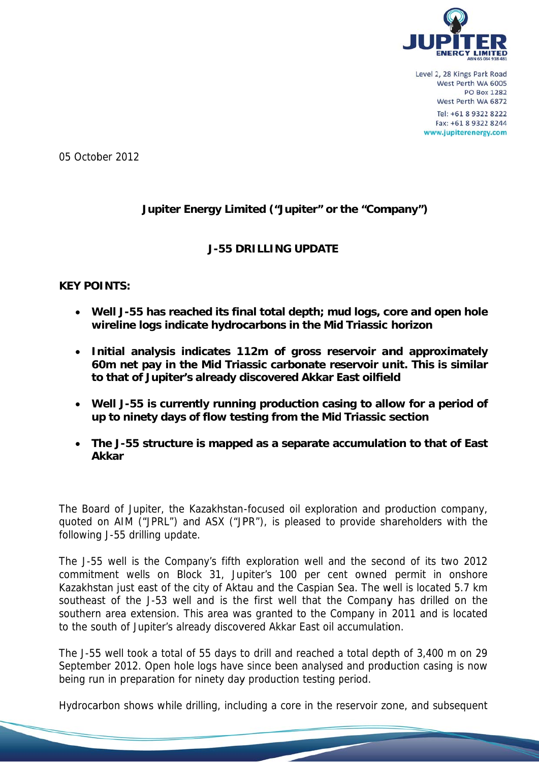

05 October 2012

# Jupiter Energy Limited ("Jupiter" or the "Company")

## **J-55 DRILLING UPDATE**

## **KEY POINTS:**

- Well J-55 has reached its final total depth; mud logs, core and open hole wireline logs indicate hydrocarbons in the Mid Triassic horizon
- Initial analysis indicates 112m of gross reservoir and approximately 60m net pay in the Mid Triassic carbonate reservoir unit. This is similar to that of Jupiter's already discovered Akkar East oilfield
- Well J-55 is currently running production casing to allow for a period of up to ninety days of flow testing from the Mid Triassic section
- The J-55 structure is mapped as a separate accumulation to that of East **Akkar**

The Board of Jupiter, the Kazakhstan-focused oil exploration and production company, quoted on AIM ("JPRL") and ASX ("JPR"), is pleased to provide shareholders with the following J-55 drilling update.

The J-55 well is the Company's fifth exploration well and the second of its two 2012 commitment wells on Block 31, Jupiter's 100 per cent owned permit in onshore Kazakhstan just east of the city of Aktau and the Caspian Sea. The well is located 5.7 km southeast of the J-53 well and is the first well that the Company has drilled on the southern area extension. This area was granted to the Company in 2011 and is located to the south of Jupiter's already discovered Akkar East oil accumulation.

The J-55 well took a total of 55 days to drill and reached a total depth of 3,400 m on 29 September 2012. Open hole logs have since been analysed and production casing is now being run in preparation for ninety day production testing period.

Hydrocarbon shows while drilling, including a core in the reservoir zone, and subsequent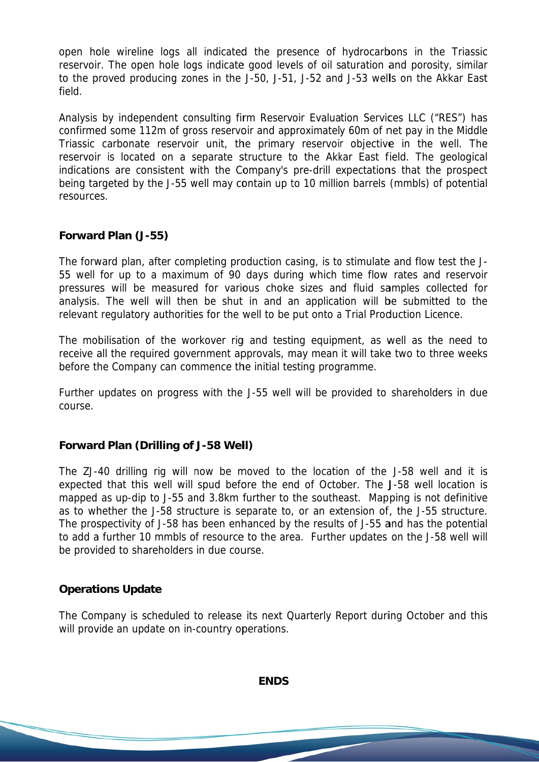open hole wireline logs all indicated the presence of hydrocarbons in the Triassic reservoir. The open hole logs indicate good levels of oil saturation and porosity, similar to the proved producing zones in the J-50, J-51, J-52 and J-53 wells on the Akkar East field.

Analysis by independent consulting firm Reservoir Evaluation Services LLC ("RES") has confirmed some 112m of gross reservoir and approximately 60m of net pay in the Middle Triassic carbonate reservoir unit, the primary reservoir objective in the well. The reservoir is located on a separate structure to the Akkar East field. The geological indications are consistent with the Company's pre-drill expectations that the prospect being targeted by the J-55 well may contain up to 10 million barrels (mmbls) of potential resources.

### Forward Plan (J-55)

The forward plan, after completing production casing, is to stimulate and flow test the J-55 well for up to a maximum of 90 days during which time flow rates and reservoir pressures will be measured for various choke sizes and fluid samples collected for analysis. The well will then be shut in and an application will be submitted to the relevant regulatory authorities for the well to be put onto a Trial Production Licence.

The mobilisation of the workover rig and testing equipment, as well as the need to receive all the required government approvals, may mean it will take two to three weeks before the Company can commence the initial testing programme.

Further updates on progress with the J-55 well will be provided to shareholders in due course.

#### **Forward Plan (Drilling of J-58 Well)**

The ZJ-40 drilling rig will now be moved to the location of the J-58 well and it is expected that this well will spud before the end of October. The J-58 well location is mapped as up-dip to J-55 and 3.8km further to the southeast. Mapping is not definitive as to whether the J-58 structure is separate to, or an extension of, the J-55 structure. The prospectivity of J-58 has been enhanced by the results of J-55 and has the potential to add a further 10 mmbls of resource to the area. Further updates on the J-58 well will be provided to shareholders in due course.

#### **Operations Update**

The Company is scheduled to release its next Quarterly Report during October and this will provide an update on in-country operations.

**ENDS**